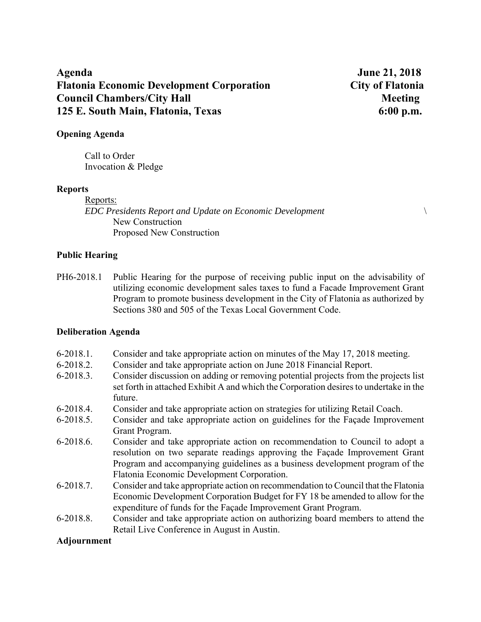# **Agenda June 21, 2018 Flatonia Economic Development Corporation City of Flatonia Council Chambers/City Hall Meeting 3.1 All Meeting 3.1 All Meeting 3.1 All Meeting 3.1 All Meeting 3.1 All Meeting 3.1 All Meeting 3.1 All Meeting 3.1 All Meeting 3.1 All Meeting 3.1 All Meeting 3.1 All Meeting 3.1 All Me 125 E. South Main, Flatonia, Texas 6:00 p.m.**

## **Opening Agenda**

Call to Order Invocation & Pledge

### **Reports**

Reports: *EDC Presidents Report and Update on Economic Development* \ New Construction Proposed New Construction

### **Public Hearing**

PH6-2018.1 Public Hearing for the purpose of receiving public input on the advisability of utilizing economic development sales taxes to fund a Facade Improvement Grant Program to promote business development in the City of Flatonia as authorized by Sections 380 and 505 of the Texas Local Government Code.

### **Deliberation Agenda**

- 6-2018.1. Consider and take appropriate action on minutes of the May 17, 2018 meeting.
- 6-2018.2. Consider and take appropriate action on June 2018 Financial Report.
- 6-2018.3. Consider discussion on adding or removing potential projects from the projects list set forth in attached Exhibit A and which the Corporation desires to undertake in the future.
- 6-2018.4. Consider and take appropriate action on strategies for utilizing Retail Coach.
- 6-2018.5. Consider and take appropriate action on guidelines for the Façade Improvement Grant Program.
- 6-2018.6. Consider and take appropriate action on recommendation to Council to adopt a resolution on two separate readings approving the Façade Improvement Grant Program and accompanying guidelines as a business development program of the Flatonia Economic Development Corporation.
- 6-2018.7. Consider and take appropriate action on recommendation to Council that the Flatonia Economic Development Corporation Budget for FY 18 be amended to allow for the expenditure of funds for the Façade Improvement Grant Program.
- 6-2018.8. Consider and take appropriate action on authorizing board members to attend the Retail Live Conference in August in Austin.

### **Adjournment**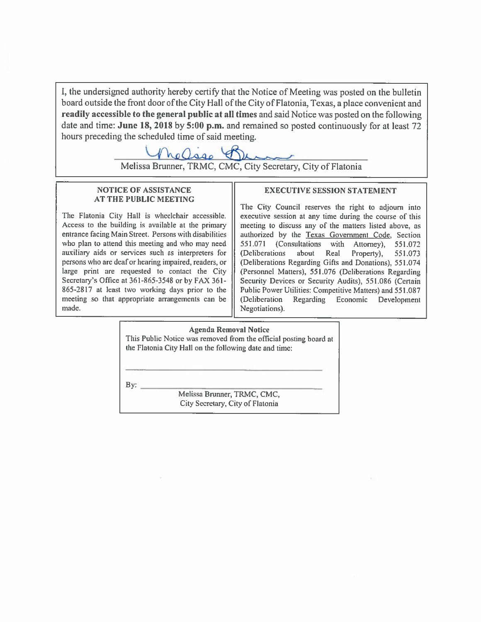I, the undersigned authority hereby certify that the Notice of Meeting was posted on the bulletin board outside the front door of the City Hall of the City of Flatonia, Texas, a place convenient and readily accessible to the general public at all times and said Notice was posted on the following date and time: June 18, 2018 by 5:00 p.m. and remained so posted continuously for at least 72 hours preceding the scheduled time of said meeting.

Melissa Brunner, TRMC, CMC, City Secretary, City of Flatonia

### **NOTICE OF ASSISTANCE AT THE PUBLIC MEETING**

The Flatonia City Hall is wheelchair accessible. Access to the building is available at the primary entrance facing Main Street. Persons with disabilities who plan to attend this meeting and who may need auxiliary aids or services such as interpreters for persons who are deaf or hearing impaired, readers, or large print are requested to contact the City Secretary's Office at 361-865-3548 or by FAX 361-865-2817 at least two working days prior to the meeting so that appropriate arrangements can be made.

### **EXECUTIVE SESSION STATEMENT**

The City Council reserves the right to adjourn into executive session at any time during the course of this meeting to discuss any of the matters listed above, as authorized by the Texas Government Code, Section 551.071 (Consultations with Attorney), 551.072 (Deliberations) about Real Property), 551.073 (Deliberations Regarding Gifts and Donations), 551.074 (Personnel Matters), 551.076 (Deliberations Regarding Security Devices or Security Audits), 551.086 (Certain Public Power Utilities: Competitive Matters) and 551.087 (Deliberation Regarding Economic Development Negotiations).

### **Agenda Removal Notice**

This Public Notice was removed from the official posting board at the Flatonia City Hall on the following date and time:

 $By:$ 

Melissa Brunner, TRMC, CMC, City Secretary, City of Flatonia